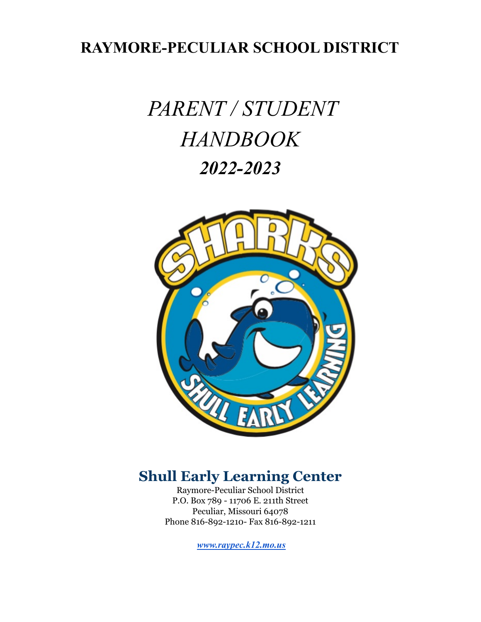# **RAYMORE-PECULIAR SCHOOL DISTRICT**

# *PARENT / STUDENT HANDBOOK 2022-2023*



# **Shull Early Learning Center**

Raymore-Peculiar School District P.O. Box 789 - 11706 E. 211th Street Peculiar, Missouri 64078 Phone 816-892-1210- Fax 816-892-1211

*[www.raypec.k12.mo.us](http://www.raypec.k12.mo.us)*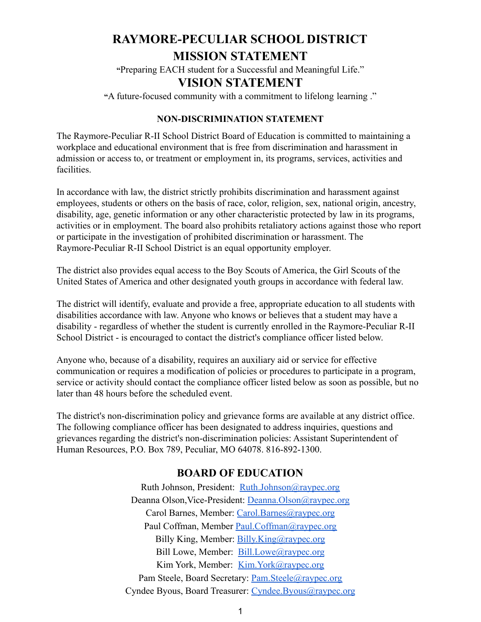# **RAYMORE-PECULIAR SCHOOL DISTRICT MISSION STATEMENT**

**"**Preparing EACH student for a Successful and Meaningful Life."

# **VISION STATEMENT**

**"**A future-focused community with a commitment to lifelong learning ."

#### **NON-DISCRIMINATION STATEMENT**

The Raymore-Peculiar R-II School District Board of Education is committed to maintaining a workplace and educational environment that is free from discrimination and harassment in admission or access to, or treatment or employment in, its programs, services, activities and facilities.

In accordance with law, the district strictly prohibits discrimination and harassment against employees, students or others on the basis of race, color, religion, sex, national origin, ancestry, disability, age, genetic information or any other characteristic protected by law in its programs, activities or in employment. The board also prohibits retaliatory actions against those who report or participate in the investigation of prohibited discrimination or harassment. The Raymore-Peculiar R-II School District is an equal opportunity employer.

The district also provides equal access to the Boy Scouts of America, the Girl Scouts of the United States of America and other designated youth groups in accordance with federal law.

The district will identify, evaluate and provide a free, appropriate education to all students with disabilities accordance with law. Anyone who knows or believes that a student may have a disability - regardless of whether the student is currently enrolled in the Raymore-Peculiar R-II School District - is encouraged to contact the district's compliance officer listed below.

Anyone who, because of a disability, requires an auxiliary aid or service for effective communication or requires a modification of policies or procedures to participate in a program, service or activity should contact the compliance officer listed below as soon as possible, but no later than 48 hours before the scheduled event.

The district's non-discrimination policy and grievance forms are available at any district office. The following compliance officer has been designated to address inquiries, questions and grievances regarding the district's non-discrimination policies: Assistant Superintendent of Human Resources, P.O. Box 789, Peculiar, MO 64078. 816-892-1300.

# **BOARD OF EDUCATION**

Ruth Johnson, President: [Ruth.Johnson@raypec.org](mailto:Ruth.Johnson@raypec.org) Deanna Olson,Vice-President: [Deanna.Olson@raypec.org](mailto:Maria.Davies@raypec.org) Carol Barnes, Member: [Carol.Barnes@raypec.org](mailto:Carol.Barnes@raypec.org) Paul Coffman, Member [Paul.Coffman@raypec.org](mailto:Paul.Coffman@raypec.org) Billy King, Member: [Billy.King@raypec.org](mailto:Ryan.Wescoat@raypec.org) Bill Lowe, Member: [Bill.Lowe@raypec.org](mailto:Bill.Lowe@raypec.org) Kim York, Member: [Kim.York@raypec.org](mailto:Kim.York@raypec.org) Pam Steele, Board Secretary: [Pam.Steele@raypec.org](mailto:Pam.Steele@raypec.org) Cyndee Byous, Board Treasurer: [Cyndee.Byous@raypec.org](mailto:Cyndee.Byous@raypec.org)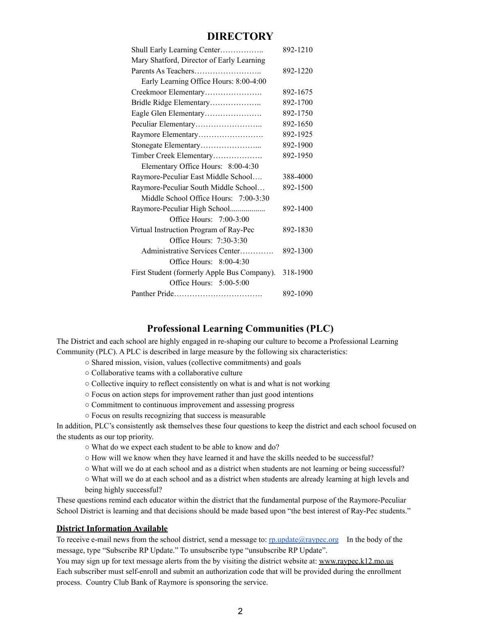#### **DIRECTORY**

| Shull Early Learning Center                 | 892-1210 |
|---------------------------------------------|----------|
| Mary Shatford, Director of Early Learning   |          |
|                                             | 892-1220 |
| Early Learning Office Hours: 8:00-4:00      |          |
| Creekmoor Elementary                        | 892-1675 |
| Bridle Ridge Elementary                     | 892-1700 |
| Eagle Glen Elementary                       | 892-1750 |
|                                             | 892-1650 |
| Raymore Elementary                          | 892-1925 |
|                                             | 892-1900 |
| Timber Creek Elementary                     | 892-1950 |
| Elementary Office Hours: 8:00-4:30          |          |
| Raymore-Peculiar East Middle School         | 388-4000 |
| Raymore-Peculiar South Middle School        | 892-1500 |
| Middle School Office Hours: 7:00-3:30       |          |
| Raymore-Peculiar High School                | 892-1400 |
| Office Hours: $7:00-3:00$                   |          |
| Virtual Instruction Program of Ray-Pec      | 892-1830 |
| Office Hours: 7:30-3:30                     |          |
| Administrative Services Center              | 892-1300 |
| Office Hours: $8:00-4:30$                   |          |
| First Student (formerly Apple Bus Company). | 318-1900 |
| Office Hours: $5:00-5:00$                   |          |
|                                             | 892-1090 |

#### **Professional Learning Communities (PLC)**

The District and each school are highly engaged in re-shaping our culture to become a Professional Learning Community (PLC). A PLC is described in large measure by the following six characteristics:

- Shared mission, vision, values (collective commitments) and goals
- Collaborative teams with a collaborative culture
- Collective inquiry to reflect consistently on what is and what is not working
- Focus on action steps for improvement rather than just good intentions
- Commitment to continuous improvement and assessing progress
- Focus on results recognizing that success is measurable

In addition, PLC's consistently ask themselves these four questions to keep the district and each school focused on the students as our top priority.

- What do we expect each student to be able to know and do?
- How will we know when they have learned it and have the skills needed to be successful?
- What will we do at each school and as a district when students are not learning or being successful?

○ What will we do at each school and as a district when students are already learning at high levels and being highly successful?

These questions remind each educator within the district that the fundamental purpose of the Raymore-Peculiar School District is learning and that decisions should be made based upon "the best interest of Ray-Pec students."

#### **District Information Available**

To receive e-mail news from the school district, send a message to:  $\text{rp.update@raypec.org}$  $\text{rp.update@raypec.org}$  $\text{rp.update@raypec.org}$  In the body of the message, type "Subscribe RP Update." To unsubscribe type "unsubscribe RP Update".

You may sign up for text message alerts from the by visiting the district website at: [www.raypec.k12.mo.us](http://www.raypec.k12.mo.us/) Each subscriber must self-enroll and submit an authorization code that will be provided during the enrollment process. Country Club Bank of Raymore is sponsoring the service.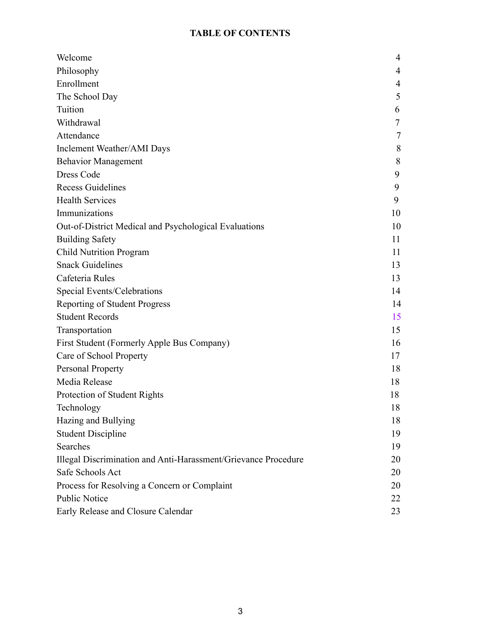# **TABLE OF CONTENTS**

| Welcome                                                        | 4  |
|----------------------------------------------------------------|----|
| Philosophy                                                     | 4  |
| Enrollment                                                     | 4  |
| The School Day                                                 | 5  |
| Tuition                                                        | 6  |
| Withdrawal                                                     | 7  |
| Attendance                                                     | 7  |
| Inclement Weather/AMI Days                                     | 8  |
| <b>Behavior Management</b>                                     | 8  |
| Dress Code                                                     | 9  |
| <b>Recess Guidelines</b>                                       | 9  |
| <b>Health Services</b>                                         | 9  |
| Immunizations                                                  | 10 |
| Out-of-District Medical and Psychological Evaluations          | 10 |
| <b>Building Safety</b>                                         | 11 |
| <b>Child Nutrition Program</b>                                 | 11 |
| <b>Snack Guidelines</b>                                        | 13 |
| Cafeteria Rules                                                | 13 |
| Special Events/Celebrations                                    | 14 |
| <b>Reporting of Student Progress</b>                           | 14 |
| <b>Student Records</b>                                         | 15 |
| Transportation                                                 | 15 |
| First Student (Formerly Apple Bus Company)                     | 16 |
| Care of School Property                                        | 17 |
| Personal Property                                              | 18 |
| Media Release                                                  | 18 |
| Protection of Student Rights                                   | 18 |
| Technology                                                     | 18 |
| Hazing and Bullying                                            | 18 |
| <b>Student Discipline</b>                                      | 19 |
| Searches                                                       | 19 |
| Illegal Discrimination and Anti-Harassment/Grievance Procedure | 20 |
| Safe Schools Act                                               | 20 |
| Process for Resolving a Concern or Complaint                   | 20 |
| <b>Public Notice</b>                                           | 22 |
| Early Release and Closure Calendar                             | 23 |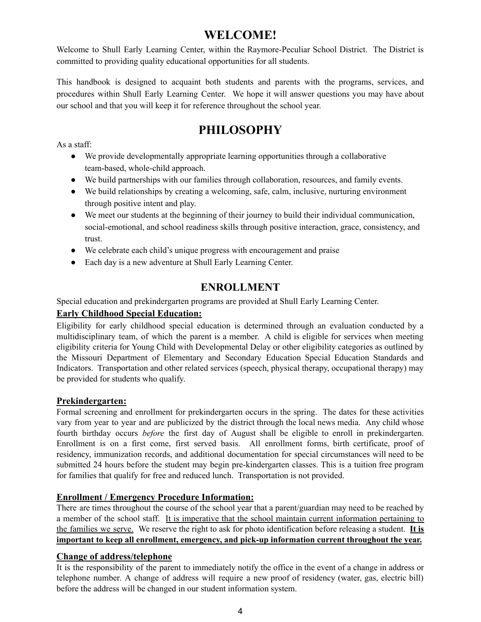# **WELCOME!**

Welcome to Shull Early Learning Center, within the Raymore-Peculiar School District. The District is committed to providing quality educational opportunities for all students.

This handbook is designed to acquaint both students and parents with the programs, services, and procedures within Shull Early Learning Center. We hope it will answer questions you may have about our school and that you will keep it for reference throughout the school year.

# **PHILOSOPHY**

As a staff:

- We provide developmentally appropriate learning opportunities through a collaborative team-based, whole-child approach.
- We build partnerships with our families through collaboration, resources, and family events.
- We build relationships by creating a welcoming, safe, calm, inclusive, nurturing environment through positive intent and play.
- We meet our students at the beginning of their journey to build their individual communication, social-emotional, and school readiness skills through positive interaction, grace, consistency, and trust.
- We celebrate each child's unique progress with encouragement and praise
- Each day is a new adventure at Shull Early Learning Center.

# **ENROLLMENT**

Special education and prekindergarten programs are provided at Shull Early Learning Center.

#### **Early Childhood Special Education:**

Eligibility for early childhood special education is determined through an evaluation conducted by a multidisciplinary team, of which the parent is a member. A child is eligible for services when meeting eligibility criteria for Young Child with Developmental Delay or other eligibility categories as outlined by the Missouri Department of Elementary and Secondary Education Special Education Standards and Indicators. Transportation and other related services (speech, physical therapy, occupational therapy) may be provided for students who qualify.

#### **Prekindergarten:**

Formal screening and enrollment for prekindergarten occurs in the spring. The dates for these activities vary from year to year and are publicized by the district through the local news media. Any child whose fourth birthday occurs *before* the first day of August shall be eligible to enroll in prekindergarten. Enrollment is on a first come, first served basis. All enrollment forms, birth certificate, proof of residency, immunization records, and additional documentation for special circumstances will need to be submitted 24 hours before the student may begin pre-kindergarten classes. This is a tuition free program for families that qualify for free and reduced lunch. Transportation is not provided.

#### **Enrollment / Emergency Procedure Information:**

There are times throughout the course of the school year that a parent/guardian may need to be reached by a member of the school staff. It is imperative that the school maintain current information pertaining to the families we serve. We reserve the right to ask for photo identification before releasing a student. **It is important to keep all enrollment, emergency, and pick-up information current throughout the year.**

#### **Change of address/telephone**

It is the responsibility of the parent to immediately notify the office in the event of a change in address or telephone number. A change of address will require a new proof of residency (water, gas, electric bill) before the address will be changed in our student information system.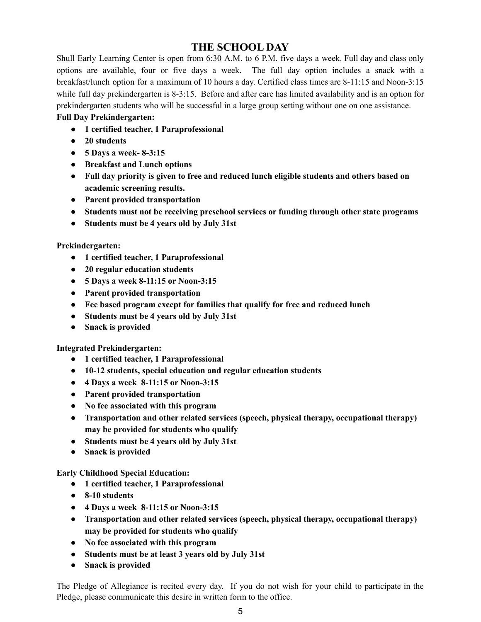# **THE SCHOOL DAY**

Shull Early Learning Center is open from 6:30 A.M. to 6 P.M. five days a week. Full day and class only options are available, four or five days a week. The full day option includes a snack with a breakfast/lunch option for a maximum of 10 hours a day. Certified class times are 8-11:15 and Noon-3:15 while full day prekindergarten is 8-3:15. Before and after care has limited availability and is an option for prekindergarten students who will be successful in a large group setting without one on one assistance.

#### **Full Day Prekindergarten:**

- **● 1 certified teacher, 1 Paraprofessional**
- **● 20 students**
- **● 5 Days a week- 8-3:15**
- **● Breakfast and Lunch options**
- **● Full day priority is given to free and reduced lunch eligible students and others based on academic screening results.**
- **● Parent provided transportation**
- **● Students must not be receiving preschool services or funding through other state programs**
- **● Students must be 4 years old by July 31st**

#### **Prekindergarten:**

- **● 1 certified teacher, 1 Paraprofessional**
- **● 20 regular education students**
- **● 5 Days a week 8-11:15 or Noon-3:15**
- **● Parent provided transportation**
- **● Fee based program except for families that qualify for free and reduced lunch**
- **● Students must be 4 years old by July 31st**
- **● Snack is provided**

#### **Integrated Prekindergarten:**

- **● 1 certified teacher, 1 Paraprofessional**
- **● 10-12 students, special education and regular education students**
- **● 4 Days a week 8-11:15 or Noon-3:15**
- **● Parent provided transportation**
- **● No fee associated with this program**
- **● Transportation and other related services (speech, physical therapy, occupational therapy) may be provided for students who qualify**
- **● Students must be 4 years old by July 31st**
- **● Snack is provided**

#### **Early Childhood Special Education:**

- **● 1 certified teacher, 1 Paraprofessional**
- **● 8-10 students**
- **● 4 Days a week 8-11:15 or Noon-3:15**
- **● Transportation and other related services (speech, physical therapy, occupational therapy) may be provided for students who qualify**
- **● No fee associated with this program**
- **● Students must be at least 3 years old by July 31st**
- **● Snack is provided**

The Pledge of Allegiance is recited every day. If you do not wish for your child to participate in the Pledge, please communicate this desire in written form to the office.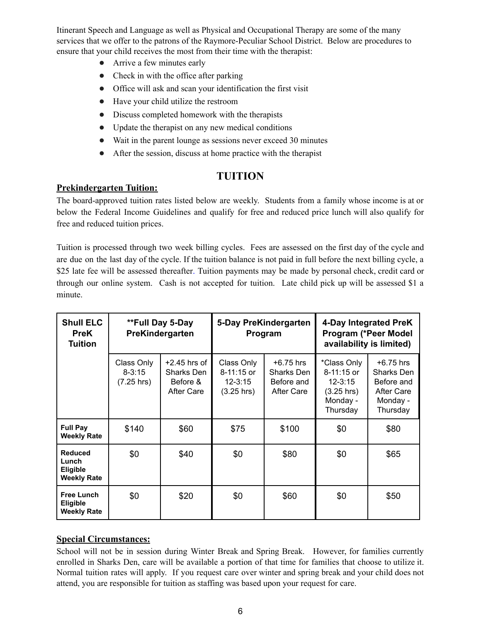Itinerant Speech and Language as well as Physical and Occupational Therapy are some of the many services that we offer to the patrons of the Raymore-Peculiar School District. Below are procedures to ensure that your child receives the most from their time with the therapist:

- Arrive a few minutes early
- Check in with the office after parking
- Office will ask and scan your identification the first visit
- Have your child utilize the restroom
- Discuss completed homework with the therapists
- Update the therapist on any new medical conditions
- Wait in the parent lounge as sessions never exceed 30 minutes
- After the session, discuss at home practice with the therapist

# **TUITION**

#### **Prekindergarten Tuition:**

The board-approved tuition rates listed below are weekly. Students from a family whose income is at or below the Federal Income Guidelines and qualify for free and reduced price lunch will also qualify for free and reduced tuition prices.

Tuition is processed through two week billing cycles. Fees are assessed on the first day of the cycle and are due on the last day of the cycle. If the tuition balance is not paid in full before the next billing cycle, a \$25 late fee will be assessed thereafter. Tuition payments may be made by personal check, credit card or through our online system. Cash is not accepted for tuition. Late child pick up will be assessed \$1 a minute.

| <b>Shull ELC</b><br><b>PreK</b><br><b>Tuition</b>                | **Full Day 5-Day<br>PreKindergarten              |                                                        | 5-Day PreKindergarten<br>Program                                    |                                                       | 4-Day Integrated PreK<br>Program (*Peer Model<br>availability is limited)                    |                                                                                      |
|------------------------------------------------------------------|--------------------------------------------------|--------------------------------------------------------|---------------------------------------------------------------------|-------------------------------------------------------|----------------------------------------------------------------------------------------------|--------------------------------------------------------------------------------------|
|                                                                  | Class Only<br>$8 - 3:15$<br>$(7.25 \text{ hrs})$ | $+2.45$ hrs of<br>Sharks Den<br>Before &<br>After Care | Class Only<br>$8 - 11:15$ or<br>$12 - 3:15$<br>$(3.25 \text{ hrs})$ | $+6.75$ hrs<br>Sharks Den<br>Before and<br>After Care | *Class Only<br>$8 - 11:15$ or<br>$12 - 3:15$<br>$(3.25 \text{ hrs})$<br>Monday -<br>Thursday | $+6.75$ hrs<br>Sharks Den<br>Before and<br><b>After Care</b><br>Monday -<br>Thursday |
| <b>Full Pay</b><br><b>Weekly Rate</b>                            | \$140                                            | \$60                                                   | \$75                                                                | \$100                                                 | \$0                                                                                          | \$80                                                                                 |
| <b>Reduced</b><br>Lunch<br><b>Eligible</b><br><b>Weekly Rate</b> | \$0                                              | \$40                                                   | \$0                                                                 | \$80                                                  | \$0                                                                                          | \$65                                                                                 |
| <b>Free Lunch</b><br><b>Eligible</b><br><b>Weekly Rate</b>       | \$0                                              | \$20                                                   | \$0                                                                 | \$60                                                  | \$0                                                                                          | \$50                                                                                 |

#### **Special Circumstances:**

School will not be in session during Winter Break and Spring Break. However, for families currently enrolled in Sharks Den, care will be available a portion of that time for families that choose to utilize it. Normal tuition rates will apply. If you request care over winter and spring break and your child does not attend, you are responsible for tuition as staffing was based upon your request for care.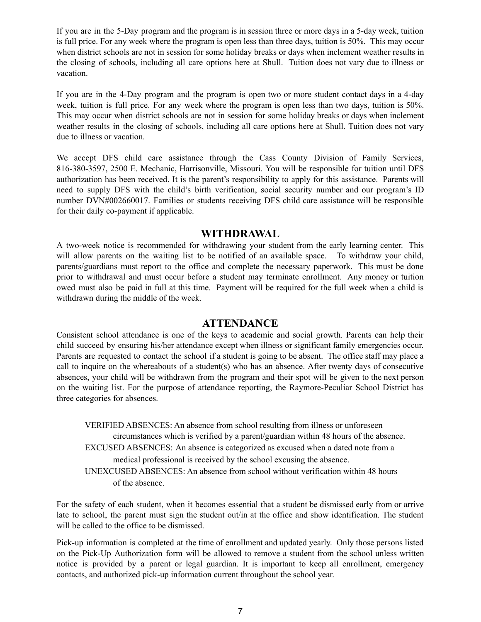If you are in the 5-Day program and the program is in session three or more days in a 5-day week, tuition is full price. For any week where the program is open less than three days, tuition is 50%. This may occur when district schools are not in session for some holiday breaks or days when inclement weather results in the closing of schools, including all care options here at Shull. Tuition does not vary due to illness or vacation.

If you are in the 4-Day program and the program is open two or more student contact days in a 4-day week, tuition is full price. For any week where the program is open less than two days, tuition is 50%. This may occur when district schools are not in session for some holiday breaks or days when inclement weather results in the closing of schools, including all care options here at Shull. Tuition does not vary due to illness or vacation.

We accept DFS child care assistance through the Cass County Division of Family Services, 816-380-3597, 2500 E. Mechanic, Harrisonville, Missouri. You will be responsible for tuition until DFS authorization has been received. It is the parent's responsibility to apply for this assistance. Parents will need to supply DFS with the child's birth verification, social security number and our program's ID number DVN#002660017. Families or students receiving DFS child care assistance will be responsible for their daily co-payment if applicable.

#### **WITHDRAWAL**

A two-week notice is recommended for withdrawing your student from the early learning center. This will allow parents on the waiting list to be notified of an available space. To withdraw your child, parents/guardians must report to the office and complete the necessary paperwork. This must be done prior to withdrawal and must occur before a student may terminate enrollment. Any money or tuition owed must also be paid in full at this time. Payment will be required for the full week when a child is withdrawn during the middle of the week.

#### **ATTENDANCE**

Consistent school attendance is one of the keys to academic and social growth. Parents can help their child succeed by ensuring his/her attendance except when illness or significant family emergencies occur. Parents are requested to contact the school if a student is going to be absent. The office staff may place a call to inquire on the whereabouts of a student(s) who has an absence. After twenty days of consecutive absences, your child will be withdrawn from the program and their spot will be given to the next person on the waiting list. For the purpose of attendance reporting, the Raymore-Peculiar School District has three categories for absences.

VERIFIED ABSENCES: An absence from school resulting from illness or unforeseen circumstances which is verified by a parent/guardian within 48 hours of the absence. EXCUSED ABSENCES: An absence is categorized as excused when a dated note from a medical professional is received by the school excusing the absence. UNEXCUSED ABSENCES: An absence from school without verification within 48 hours of the absence.

For the safety of each student, when it becomes essential that a student be dismissed early from or arrive late to school, the parent must sign the student out/in at the office and show identification. The student will be called to the office to be dismissed.

Pick-up information is completed at the time of enrollment and updated yearly. Only those persons listed on the Pick-Up Authorization form will be allowed to remove a student from the school unless written notice is provided by a parent or legal guardian. It is important to keep all enrollment, emergency contacts, and authorized pick-up information current throughout the school year.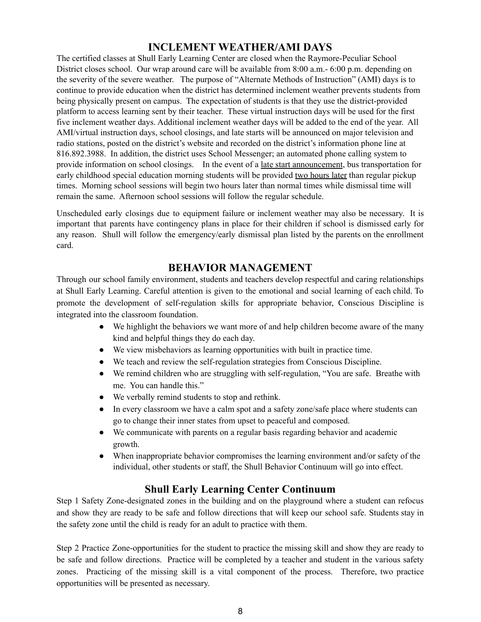# **INCLEMENT WEATHER/AMI DAYS**

The certified classes at Shull Early Learning Center are closed when the Raymore-Peculiar School District closes school. Our wrap around care will be available from 8:00 a.m.- 6:00 p.m. depending on the severity of the severe weather. The purpose of "Alternate Methods of Instruction" (AMI) days is to continue to provide education when the district has determined inclement weather prevents students from being physically present on campus. The expectation of students is that they use the district-provided platform to access learning sent by their teacher. These virtual instruction days will be used for the first five inclement weather days. Additional inclement weather days will be added to the end of the year. All AMI/virtual instruction days, school closings, and late starts will be announced on major television and radio stations, posted on the district's website and recorded on the district's information phone line at 816.892.3988. In addition, the district uses School Messenger; an automated phone calling system to provide information on school closings. In the event of a late start announcement, bus transportation for early childhood special education morning students will be provided two hours later than regular pickup times. Morning school sessions will begin two hours later than normal times while dismissal time will remain the same. Afternoon school sessions will follow the regular schedule.

Unscheduled early closings due to equipment failure or inclement weather may also be necessary. It is important that parents have contingency plans in place for their children if school is dismissed early for any reason. Shull will follow the emergency/early dismissal plan listed by the parents on the enrollment card.

# **BEHAVIOR MANAGEMENT**

Through our school family environment, students and teachers develop respectful and caring relationships at Shull Early Learning. Careful attention is given to the emotional and social learning of each child. To promote the development of self-regulation skills for appropriate behavior, Conscious Discipline is integrated into the classroom foundation.

- We highlight the behaviors we want more of and help children become aware of the many kind and helpful things they do each day.
- We view misbehaviors as learning opportunities with built in practice time.
- We teach and review the self-regulation strategies from Conscious Discipline.
- We remind children who are struggling with self-regulation, "You are safe. Breathe with me. You can handle this."
- We verbally remind students to stop and rethink.
- In every classroom we have a calm spot and a safety zone/safe place where students can go to change their inner states from upset to peaceful and composed.
- We communicate with parents on a regular basis regarding behavior and academic growth.
- When inappropriate behavior compromises the learning environment and/or safety of the individual, other students or staff, the Shull Behavior Continuum will go into effect.

# **Shull Early Learning Center Continuum**

Step 1 Safety Zone-designated zones in the building and on the playground where a student can refocus and show they are ready to be safe and follow directions that will keep our school safe. Students stay in the safety zone until the child is ready for an adult to practice with them.

Step 2 Practice Zone-opportunities for the student to practice the missing skill and show they are ready to be safe and follow directions. Practice will be completed by a teacher and student in the various safety zones. Practicing of the missing skill is a vital component of the process. Therefore, two practice opportunities will be presented as necessary.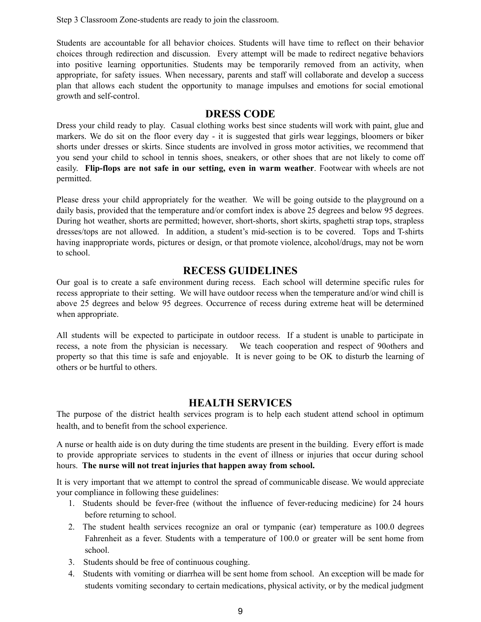Step 3 Classroom Zone-students are ready to join the classroom.

Students are accountable for all behavior choices. Students will have time to reflect on their behavior choices through redirection and discussion. Every attempt will be made to redirect negative behaviors into positive learning opportunities. Students may be temporarily removed from an activity, when appropriate, for safety issues. When necessary, parents and staff will collaborate and develop a success plan that allows each student the opportunity to manage impulses and emotions for social emotional growth and self-control.

#### **DRESS CODE**

Dress your child ready to play. Casual clothing works best since students will work with paint, glue and markers. We do sit on the floor every day - it is suggested that girls wear leggings, bloomers or biker shorts under dresses or skirts. Since students are involved in gross motor activities, we recommend that you send your child to school in tennis shoes, sneakers, or other shoes that are not likely to come off easily. **Flip-flops are not safe in our setting, even in warm weather**. Footwear with wheels are not permitted.

Please dress your child appropriately for the weather. We will be going outside to the playground on a daily basis, provided that the temperature and/or comfort index is above 25 degrees and below 95 degrees. During hot weather, shorts are permitted; however, short-shorts, short skirts, spaghetti strap tops, strapless dresses/tops are not allowed. In addition, a student's mid-section is to be covered. Tops and T-shirts having inappropriate words, pictures or design, or that promote violence, alcohol/drugs, may not be worn to school.

#### **RECESS GUIDELINES**

Our goal is to create a safe environment during recess. Each school will determine specific rules for recess appropriate to their setting. We will have outdoor recess when the temperature and/or wind chill is above 25 degrees and below 95 degrees. Occurrence of recess during extreme heat will be determined when appropriate.

All students will be expected to participate in outdoor recess. If a student is unable to participate in recess, a note from the physician is necessary. We teach cooperation and respect of 90others and property so that this time is safe and enjoyable. It is never going to be OK to disturb the learning of others or be hurtful to others.

#### **HEALTH SERVICES**

The purpose of the district health services program is to help each student attend school in optimum health, and to benefit from the school experience.

A nurse or health aide is on duty during the time students are present in the building. Every effort is made to provide appropriate services to students in the event of illness or injuries that occur during school hours. **The nurse will not treat injuries that happen away from school.**

It is very important that we attempt to control the spread of communicable disease. We would appreciate your compliance in following these guidelines:

- 1. Students should be fever-free (without the influence of fever-reducing medicine) for 24 hours before returning to school.
- 2. The student health services recognize an oral or tympanic (ear) temperature as 100.0 degrees Fahrenheit as a fever. Students with a temperature of 100.0 or greater will be sent home from school.
- 3. Students should be free of continuous coughing.
- 4. Students with vomiting or diarrhea will be sent home from school. An exception will be made for students vomiting secondary to certain medications, physical activity, or by the medical judgment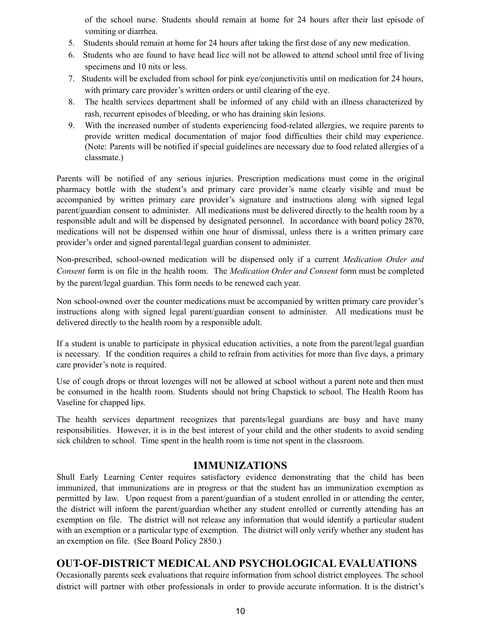of the school nurse. Students should remain at home for 24 hours after their last episode of vomiting or diarrhea.

- 5. Students should remain at home for 24 hours after taking the first dose of any new medication.
- 6. Students who are found to have head lice will not be allowed to attend school until free of living specimens and 10 nits or less.
- 7. Students will be excluded from school for pink eye/conjunctivitis until on medication for 24 hours, with primary care provider's written orders or until clearing of the eye.
- 8. The health services department shall be informed of any child with an illness characterized by rash, recurrent episodes of bleeding, or who has draining skin lesions.
- 9. With the increased number of students experiencing food-related allergies, we require parents to provide written medical documentation of major food difficulties their child may experience. (Note: Parents will be notified if special guidelines are necessary due to food related allergies of a classmate.)

Parents will be notified of any serious injuries. Prescription medications must come in the original pharmacy bottle with the student's and primary care provider's name clearly visible and must be accompanied by written primary care provider's signature and instructions along with signed legal parent/guardian consent to administer. All medications must be delivered directly to the health room by a responsible adult and will be dispensed by designated personnel. In accordance with board policy 2870, medications will not be dispensed within one hour of dismissal, unless there is a written primary care provider's order and signed parental/legal guardian consent to administer.

Non-prescribed, school-owned medication will be dispensed only if a current *Medication Order and Consent* form is on file in the health room. The *Medication Order and Consent* form must be completed by the parent/legal guardian. This form needs to be renewed each year.

Non school-owned over the counter medications must be accompanied by written primary care provider's instructions along with signed legal parent/guardian consent to administer. All medications must be delivered directly to the health room by a responsible adult.

If a student is unable to participate in physical education activities, a note from the parent/legal guardian is necessary. If the condition requires a child to refrain from activities for more than five days, a primary care provider's note is required.

Use of cough drops or throat lozenges will not be allowed at school without a parent note and then must be consumed in the health room. Students should not bring Chapstick to school. The Health Room has Vaseline for chapped lips.

The health services department recognizes that parents/legal guardians are busy and have many responsibilities. However, it is in the best interest of your child and the other students to avoid sending sick children to school. Time spent in the health room is time not spent in the classroom.

# **IMMUNIZATIONS**

Shull Early Learning Center requires satisfactory evidence demonstrating that the child has been immunized, that immunizations are in progress or that the student has an immunization exemption as permitted by law. Upon request from a parent/guardian of a student enrolled in or attending the center, the district will inform the parent/guardian whether any student enrolled or currently attending has an exemption on file. The district will not release any information that would identify a particular student with an exemption or a particular type of exemption. The district will only verify whether any student has an exemption on file. (See Board Policy 2850.)

# **OUT-OF-DISTRICT MEDICALAND PSYCHOLOGICAL EVALUATIONS**

Occasionally parents seek evaluations that require information from school district employees. The school district will partner with other professionals in order to provide accurate information. It is the district's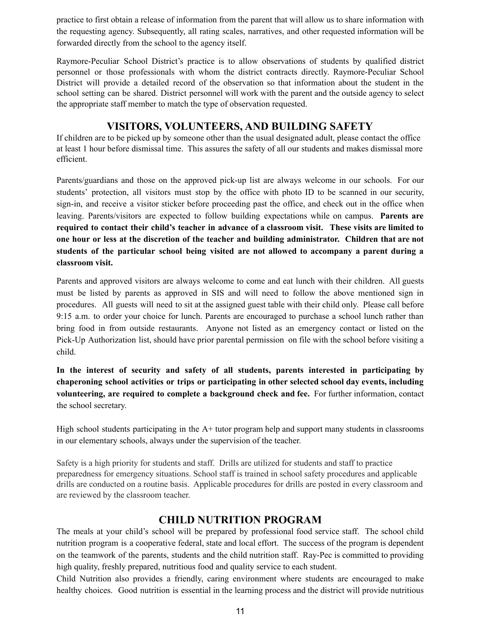practice to first obtain a release of information from the parent that will allow us to share information with the requesting agency. Subsequently, all rating scales, narratives, and other requested information will be forwarded directly from the school to the agency itself.

Raymore-Peculiar School District's practice is to allow observations of students by qualified district personnel or those professionals with whom the district contracts directly. Raymore-Peculiar School District will provide a detailed record of the observation so that information about the student in the school setting can be shared. District personnel will work with the parent and the outside agency to select the appropriate staff member to match the type of observation requested.

# **VISITORS, VOLUNTEERS, AND BUILDING SAFETY**

If children are to be picked up by someone other than the usual designated adult, please contact the office at least 1 hour before dismissal time. This assures the safety of all our students and makes dismissal more efficient.

Parents/guardians and those on the approved pick-up list are always welcome in our schools. For our students' protection, all visitors must stop by the office with photo ID to be scanned in our security, sign-in, and receive a visitor sticker before proceeding past the office, and check out in the office when leaving. Parents/visitors are expected to follow building expectations while on campus. **Parents are required to contact their child's teacher in advance of a classroom visit. These visits are limited to one hour or less at the discretion of the teacher and building administrator. Children that are not students of the particular school being visited are not allowed to accompany a parent during a classroom visit.**

Parents and approved visitors are always welcome to come and eat lunch with their children. All guests must be listed by parents as approved in SIS and will need to follow the above mentioned sign in procedures. All guests will need to sit at the assigned guest table with their child only. Please call before 9:15 a.m. to order your choice for lunch. Parents are encouraged to purchase a school lunch rather than bring food in from outside restaurants. Anyone not listed as an emergency contact or listed on the Pick-Up Authorization list, should have prior parental permission on file with the school before visiting a child.

**In the interest of security and safety of all students, parents interested in participating by chaperoning school activities or trips or participating in other selected school day events, including volunteering, are required to complete a background check and fee.** For further information, contact the school secretary.

High school students participating in the  $A+$  tutor program help and support many students in classrooms in our elementary schools, always under the supervision of the teacher.

Safety is a high priority for students and staff. Drills are utilized for students and staff to practice preparedness for emergency situations. School staff is trained in school safety procedures and applicable drills are conducted on a routine basis. Applicable procedures for drills are posted in every classroom and are reviewed by the classroom teacher.

# **CHILD NUTRITION PROGRAM**

The meals at your child's school will be prepared by professional food service staff. The school child nutrition program is a cooperative federal, state and local effort. The success of the program is dependent on the teamwork of the parents, students and the child nutrition staff. Ray-Pec is committed to providing high quality, freshly prepared, nutritious food and quality service to each student.

Child Nutrition also provides a friendly, caring environment where students are encouraged to make healthy choices. Good nutrition is essential in the learning process and the district will provide nutritious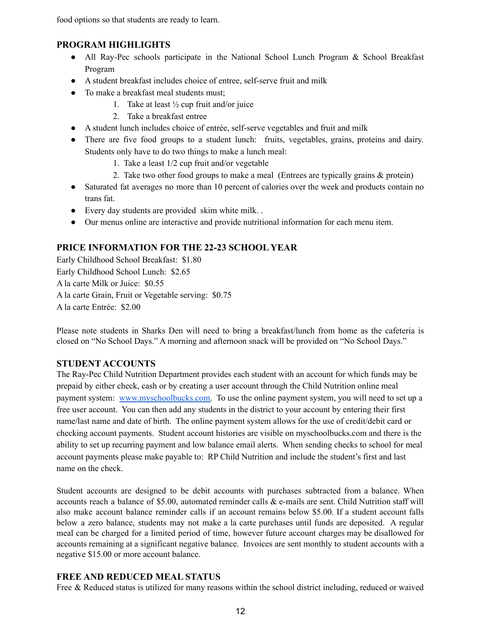food options so that students are ready to learn.

#### **PROGRAM HIGHLIGHTS**

- All Ray-Pec schools participate in the National School Lunch Program & School Breakfast Program
- A student breakfast includes choice of entree, self-serve fruit and milk
- To make a breakfast meal students must;
	- 1. Take at least  $\frac{1}{2}$  cup fruit and/or juice
	- 2. Take a breakfast entree
- A student lunch includes choice of entrée, self-serve vegetables and fruit and milk
- There are five food groups to a student lunch: fruits, vegetables, grains, proteins and dairy. Students only have to do two things to make a lunch meal:
	- 1. Take a least 1/2 cup fruit and/or vegetable
	- 2. Take two other food groups to make a meal (Entrees are typically grains & protein)
- Saturated fat averages no more than 10 percent of calories over the week and products contain no trans fat.
- Every day students are provided skim white milk. .
- Our menus online are interactive and provide nutritional information for each menu item.

#### **PRICE INFORMATION FOR THE 22-23 SCHOOL YEAR**

Early Childhood School Breakfast: \$1.80 Early Childhood School Lunch: \$2.65 A la carte Milk or Juice: \$0.55 A la carte Grain, Fruit or Vegetable serving: \$0.75 A la carte Entrée: \$2.00

Please note students in Sharks Den will need to bring a breakfast/lunch from home as the cafeteria is closed on "No School Days." A morning and afternoon snack will be provided on "No School Days."

#### **STUDENT ACCOUNTS**

The Ray-Pec Child Nutrition Department provides each student with an account for which funds may be prepaid by either check, cash or by creating a user account through the Child Nutrition online meal payment system: [www.myschoolbucks.com.](http://www.myschoolbucks.com) To use the online payment system, you will need to set up a free user account. You can then add any students in the district to your account by entering their first name/last name and date of birth. The online payment system allows for the use of credit/debit card or checking account payments. Student account histories are visible on myschoolbucks.com and there is the ability to set up recurring payment and low balance email alerts. When sending checks to school for meal account payments please make payable to: RP Child Nutrition and include the student's first and last name on the check.

Student accounts are designed to be debit accounts with purchases subtracted from a balance. When accounts reach a balance of \$5.00, automated reminder calls & e-mails are sent. Child Nutrition staff will also make account balance reminder calls if an account remains below \$5.00. If a student account falls below a zero balance, students may not make a la carte purchases until funds are deposited. A regular meal can be charged for a limited period of time, however future account charges may be disallowed for accounts remaining at a significant negative balance. Invoices are sent monthly to student accounts with a negative \$15.00 or more account balance.

#### **FREE AND REDUCED MEAL STATUS**

Free & Reduced status is utilized for many reasons within the school district including, reduced or waived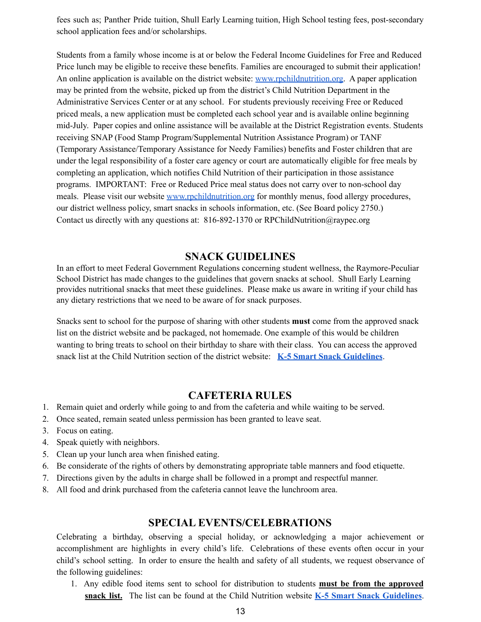fees such as; Panther Pride tuition, Shull Early Learning tuition, High School testing fees, post-secondary school application fees and/or scholarships.

Students from a family whose income is at or below the Federal Income Guidelines for Free and Reduced Price lunch may be eligible to receive these benefits. Families are encouraged to submit their application! An online application is available on the district website[:](http://www.rpchildnutrition.org/) [www.rpchildnutrition.org](http://www.rpchildnutrition.org). A paper application may be printed from the website, picked up from the district's Child Nutrition Department in the Administrative Services Center or at any school. For students previously receiving Free or Reduced priced meals, a new application must be completed each school year and is available online beginning mid-July. Paper copies and online assistance will be available at the District Registration events. Students receiving SNAP (Food Stamp Program/Supplemental Nutrition Assistance Program) or TANF (Temporary Assistance/Temporary Assistance for Needy Families) benefits and Foster children that are under the legal responsibility of a foster care agency or court are automatically eligible for free meals by completing an application, which notifies Child Nutrition of their participation in those assistance programs. IMPORTANT: Free or Reduced Price meal status does not carry over to non-school day meals. Please visit our website [www.rpchildnutrition.org](http://www.rpchildnutrition.org/) for monthly menus, food allergy procedures, our district wellness policy, smart snacks in schools information, etc. (See Board policy 2750.) Contact us directly with any questions at: 816-892-1370 or RPChildNutrition@raypec.org

# **SNACK GUIDELINES**

In an effort to meet Federal Government Regulations concerning student wellness, the Raymore-Peculiar School District has made changes to the guidelines that govern snacks at school. Shull Early Learning provides nutritional snacks that meet these guidelines. Please make us aware in writing if your child has any dietary restrictions that we need to be aware of for snack purposes.

Snacks sent to school for the purpose of sharing with other students **must** come from the approved snack list on the district website and be packaged, not homemade. One example of this would be children wanting to bring treats to school on their birthday to share with their class. You can access the approved snack list at the Child Nutrition section of the district website: **K-5 Smart Snack [Guidelines](https://district.schoolnutritionandfitness.com/raypecsd/files/Smart%20Snack%20Guidelines.pdf)**.

# **CAFETERIA RULES**

- 1. Remain quiet and orderly while going to and from the cafeteria and while waiting to be served.
- 2. Once seated, remain seated unless permission has been granted to leave seat.
- 3. Focus on eating.
- 4. Speak quietly with neighbors.
- 5. Clean up your lunch area when finished eating.
- 6. Be considerate of the rights of others by demonstrating appropriate table manners and food etiquette.
- 7. Directions given by the adults in charge shall be followed in a prompt and respectful manner.
- 8. All food and drink purchased from the cafeteria cannot leave the lunchroom area.

#### **SPECIAL EVENTS/CELEBRATIONS**

Celebrating a birthday, observing a special holiday, or acknowledging a major achievement or accomplishment are highlights in every child's life. Celebrations of these events often occur in your child's school setting. In order to ensure the health and safety of all students, we request observance of the following guidelines:

1. Any edible food items sent to school for distribution to students **must be from the approved snack list.** The list can be found at the Child Nutrition websit[e](http://www.schoolnutritionandfitness.com/index.php?sid=0709102350501398) **K-5 Smart Snack [Guidelines](http://district.schoolnutritionandfitness.com/raypecsd/files/Smart%20Snack%20Guidelines%202018-19.pdf)**.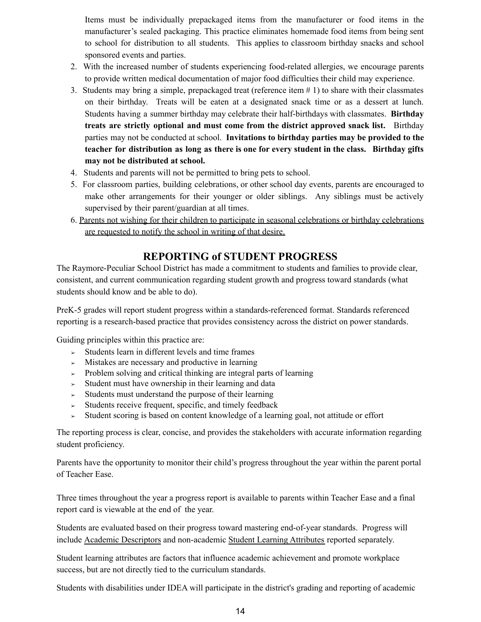Items must be individually prepackaged items from the manufacturer or food items in the manufacturer's sealed packaging. This practice eliminates homemade food items from being sent to school for distribution to all students. This applies to classroom birthday snacks and school sponsored events and parties.

- 2. With the increased number of students experiencing food-related allergies, we encourage parents to provide written medical documentation of major food difficulties their child may experience.
- 3. Students may bring a simple, prepackaged treat (reference item # 1) to share with their classmates on their birthday. Treats will be eaten at a designated snack time or as a dessert at lunch. Students having a summer birthday may celebrate their half-birthdays with classmates. **Birthday treats are strictly optional and must come from the district approved snack list.** Birthday parties may not be conducted at school. **Invitations to birthday parties may be provided to the teacher for distribution as long as there is one for every student in the class. Birthday gifts may not be distributed at school.**
- 4. Students and parents will not be permitted to bring pets to school.
- 5. For classroom parties, building celebrations, or other school day events, parents are encouraged to make other arrangements for their younger or older siblings. Any siblings must be actively supervised by their parent/guardian at all times.
- 6. Parents not wishing for their children to participate in seasonal celebrations or birthday celebrations are requested to notify the school in writing of that desire.

# **REPORTING of STUDENT PROGRESS**

The Raymore-Peculiar School District has made a commitment to students and families to provide clear, consistent, and current communication regarding student growth and progress toward standards (what students should know and be able to do).

PreK-5 grades will report student progress within a standards-referenced format. Standards referenced reporting is a research-based practice that provides consistency across the district on power standards.

Guiding principles within this practice are:

- $\geq$  Students learn in different levels and time frames
- $\geq$  Mistakes are necessary and productive in learning
- $\geq$  Problem solving and critical thinking are integral parts of learning
- $\geq$  Student must have ownership in their learning and data
- $\geq$  Students must understand the purpose of their learning
- ➢ Students receive frequent, specific, and timely feedback
- ➢ Student scoring is based on content knowledge of a learning goal, not attitude or effort

The reporting process is clear, concise, and provides the stakeholders with accurate information regarding student proficiency.

Parents have the opportunity to monitor their child's progress throughout the year within the parent portal of Teacher Ease.

Three times throughout the year a progress report is available to parents within Teacher Ease and a final report card is viewable at the end of the year.

Students are evaluated based on their progress toward mastering end-of-year standards. Progress will include Academic Descriptors and non-academic Student Learning Attributes reported separately.

Student learning attributes are factors that influence academic achievement and promote workplace success, but are not directly tied to the curriculum standards.

Students with disabilities under IDEA will participate in the district's grading and reporting of academic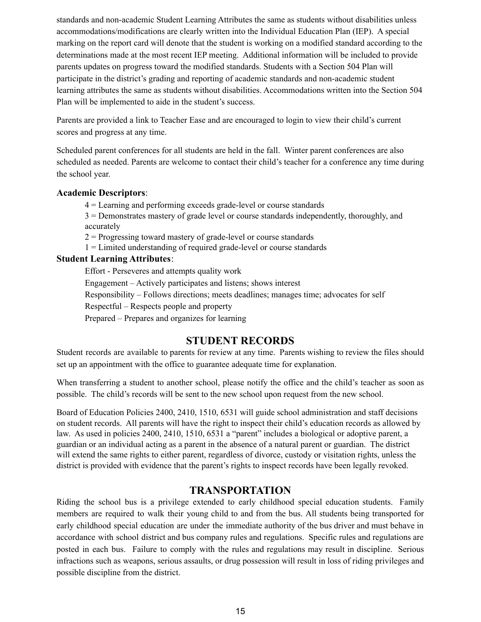standards and non-academic Student Learning Attributes the same as students without disabilities unless accommodations/modifications are clearly written into the Individual Education Plan (IEP). A special marking on the report card will denote that the student is working on a modified standard according to the determinations made at the most recent IEP meeting. Additional information will be included to provide parents updates on progress toward the modified standards. Students with a Section 504 Plan will participate in the district's grading and reporting of academic standards and non-academic student learning attributes the same as students without disabilities. Accommodations written into the Section 504 Plan will be implemented to aide in the student's success.

Parents are provided a link to Teacher Ease and are encouraged to login to view their child's current scores and progress at any time.

Scheduled parent conferences for all students are held in the fall. Winter parent conferences are also scheduled as needed. Parents are welcome to contact their child's teacher for a conference any time during the school year.

#### **Academic Descriptors**:

4 = Learning and performing exceeds grade-level or course standards

3 = Demonstrates mastery of grade level or course standards independently, thoroughly, and accurately

 $2$  = Progressing toward mastery of grade-level or course standards

1 = Limited understanding of required grade-level or course standards

#### **Student Learning Attributes**:

Effort - Perseveres and attempts quality work

Engagement – Actively participates and listens; shows interest

Responsibility – Follows directions; meets deadlines; manages time; advocates for self

Respectful – Respects people and property

Prepared – Prepares and organizes for learning

# **STUDENT RECORDS**

Student records are available to parents for review at any time. Parents wishing to review the files should set up an appointment with the office to guarantee adequate time for explanation.

When transferring a student to another school, please notify the office and the child's teacher as soon as possible. The child's records will be sent to the new school upon request from the new school.

Board of Education Policies 2400, 2410, 1510, 6531 will guide school administration and staff decisions on student records. All parents will have the right to inspect their child's education records as allowed by law. As used in policies 2400, 2410, 1510, 6531 a "parent" includes a biological or adoptive parent, a guardian or an individual acting as a parent in the absence of a natural parent or guardian. The district will extend the same rights to either parent, regardless of divorce, custody or visitation rights, unless the district is provided with evidence that the parent's rights to inspect records have been legally revoked.

# **TRANSPORTATION**

Riding the school bus is a privilege extended to early childhood special education students. Family members are required to walk their young child to and from the bus. All students being transported for early childhood special education are under the immediate authority of the bus driver and must behave in accordance with school district and bus company rules and regulations. Specific rules and regulations are posted in each bus. Failure to comply with the rules and regulations may result in discipline. Serious infractions such as weapons, serious assaults, or drug possession will result in loss of riding privileges and possible discipline from the district.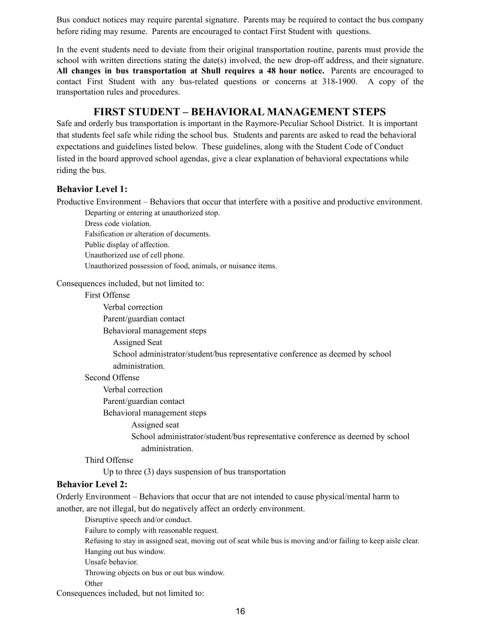Bus conduct notices may require parental signature. Parents may be required to contact the bus company before riding may resume. Parents are encouraged to contact First Student with questions.

In the event students need to deviate from their original transportation routine, parents must provide the school with written directions stating the date(s) involved, the new drop-off address, and their signature. **All changes in bus transportation at Shull requires a 48 hour notice.** Parents are encouraged to contact First Student with any bus-related questions or concerns at 318-1900. A copy of the transportation rules and procedures.

# **FIRST STUDENT – BEHAVIORAL MANAGEMENT STEPS**

Safe and orderly bus transportation is important in the Raymore-Peculiar School District. It is important that students feel safe while riding the school bus. Students and parents are asked to read the behavioral expectations and guidelines listed below. These guidelines, along with the Student Code of Conduct listed in the board approved school agendas, give a clear explanation of behavioral expectations while riding the bus.

#### **Behavior Level 1:**

Productive Environment – Behaviors that occur that interfere with a positive and productive environment.

Departing or entering at unauthorized stop. Dress code violation. Falsification or alteration of documents. Public display of affection. Unauthorized use of cell phone. Unauthorized possession of food, animals, or nuisance items.

Consequences included, but not limited to:

First Offense

Verbal correction

Parent/guardian contact

Behavioral management steps

Assigned Seat

School administrator/student/bus representative conference as deemed by school administration.

#### Second Offense

Verbal correction

Parent/guardian contact

Behavioral management steps

Assigned seat

School administrator/student/bus representative conference as deemed by school administration.

Third Offense

Up to three (3) days suspension of bus transportation

#### **Behavior Level 2:**

Orderly Environment – Behaviors that occur that are not intended to cause physical/mental harm to another, are not illegal, but do negatively affect an orderly environment.

Disruptive speech and/or conduct.

Failure to comply with reasonable request.

Refusing to stay in assigned seat, moving out of seat while bus is moving and/or failing to keep aisle clear. Hanging out bus window.

Unsafe behavior.

Throwing objects on bus or out bus window.

**Other** 

Consequences included, but not limited to: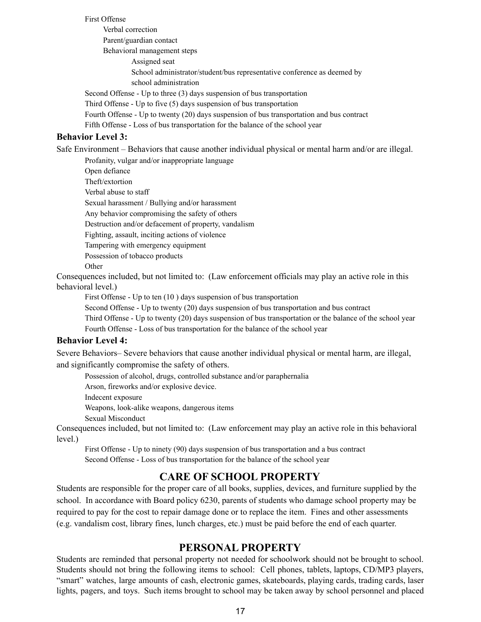First Offense

Verbal correction Parent/guardian contact Behavioral management steps Assigned seat School administrator/student/bus representative conference as deemed by school administration Second Offense - Up to three (3) days suspension of bus transportation Third Offense - Up to five (5) days suspension of bus transportation

Fourth Offense - Up to twenty (20) days suspension of bus transportation and bus contract

Fifth Offense - Loss of bus transportation for the balance of the school year

#### **Behavior Level 3:**

Safe Environment – Behaviors that cause another individual physical or mental harm and/or are illegal.

Profanity, vulgar and/or inappropriate language

Open defiance

Theft/extortion

Verbal abuse to staff

Sexual harassment / Bullying and/or harassment

Any behavior compromising the safety of others

Destruction and/or defacement of property, vandalism

Fighting, assault, inciting actions of violence

Tampering with emergency equipment

Possession of tobacco products

**Other** 

Consequences included, but not limited to: (Law enforcement officials may play an active role in this behavioral level.)

First Offense - Up to ten (10 ) days suspension of bus transportation

Second Offense - Up to twenty (20) days suspension of bus transportation and bus contract

Third Offense - Up to twenty (20) days suspension of bus transportation or the balance of the school year Fourth Offense - Loss of bus transportation for the balance of the school year

#### **Behavior Level 4:**

Severe Behaviors– Severe behaviors that cause another individual physical or mental harm, are illegal, and significantly compromise the safety of others.

Possession of alcohol, drugs, controlled substance and/or paraphernalia

Arson, fireworks and/or explosive device.

Indecent exposure

Weapons, look-alike weapons, dangerous items

Sexual Misconduct

Consequences included, but not limited to: (Law enforcement may play an active role in this behavioral level.)

First Offense - Up to ninety (90) days suspension of bus transportation and a bus contract Second Offense - Loss of bus transportation for the balance of the school year

#### **CARE OF SCHOOL PROPERTY**

Students are responsible for the proper care of all books, supplies, devices, and furniture supplied by the school. In accordance with Board policy 6230, parents of students who damage school property may be required to pay for the cost to repair damage done or to replace the item. Fines and other assessments (e.g. vandalism cost, library fines, lunch charges, etc.) must be paid before the end of each quarter.

#### **PERSONAL PROPERTY**

Students are reminded that personal property not needed for schoolwork should not be brought to school. Students should not bring the following items to school: Cell phones, tablets, laptops, CD/MP3 players, "smart" watches, large amounts of cash, electronic games, skateboards, playing cards, trading cards, laser lights, pagers, and toys. Such items brought to school may be taken away by school personnel and placed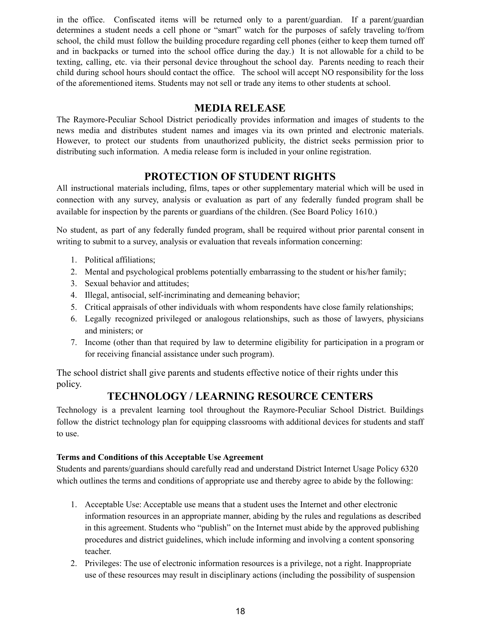in the office. Confiscated items will be returned only to a parent/guardian. If a parent/guardian determines a student needs a cell phone or "smart" watch for the purposes of safely traveling to/from school, the child must follow the building procedure regarding cell phones (either to keep them turned off and in backpacks or turned into the school office during the day.) It is not allowable for a child to be texting, calling, etc. via their personal device throughout the school day. Parents needing to reach their child during school hours should contact the office. The school will accept NO responsibility for the loss of the aforementioned items. Students may not sell or trade any items to other students at school.

#### **MEDIA RELEASE**

The Raymore-Peculiar School District periodically provides information and images of students to the news media and distributes student names and images via its own printed and electronic materials. However, to protect our students from unauthorized publicity, the district seeks permission prior to distributing such information. A media release form is included in your online registration.

# **PROTECTION OF STUDENT RIGHTS**

All instructional materials including, films, tapes or other supplementary material which will be used in connection with any survey, analysis or evaluation as part of any federally funded program shall be available for inspection by the parents or guardians of the children. (See Board Policy 1610.)

No student, as part of any federally funded program, shall be required without prior parental consent in writing to submit to a survey, analysis or evaluation that reveals information concerning:

- 1. Political affiliations;
- 2. Mental and psychological problems potentially embarrassing to the student or his/her family;
- 3. Sexual behavior and attitudes;
- 4. Illegal, antisocial, self-incriminating and demeaning behavior;
- 5. Critical appraisals of other individuals with whom respondents have close family relationships;
- 6. Legally recognized privileged or analogous relationships, such as those of lawyers, physicians and ministers; or
- 7. Income (other than that required by law to determine eligibility for participation in a program or for receiving financial assistance under such program).

The school district shall give parents and students effective notice of their rights under this policy.

# **TECHNOLOGY / LEARNING RESOURCE CENTERS**

Technology is a prevalent learning tool throughout the Raymore-Peculiar School District. Buildings follow the district technology plan for equipping classrooms with additional devices for students and staff to use.

#### **Terms and Conditions of this Acceptable Use Agreement**

Students and parents/guardians should carefully read and understand District Internet Usage Policy 6320 which outlines the terms and conditions of appropriate use and thereby agree to abide by the following:

- 1. Acceptable Use: Acceptable use means that a student uses the Internet and other electronic information resources in an appropriate manner, abiding by the rules and regulations as described in this agreement. Students who "publish" on the Internet must abide by the approved publishing procedures and district guidelines, which include informing and involving a content sponsoring teacher.
- 2. Privileges: The use of electronic information resources is a privilege, not a right. Inappropriate use of these resources may result in disciplinary actions (including the possibility of suspension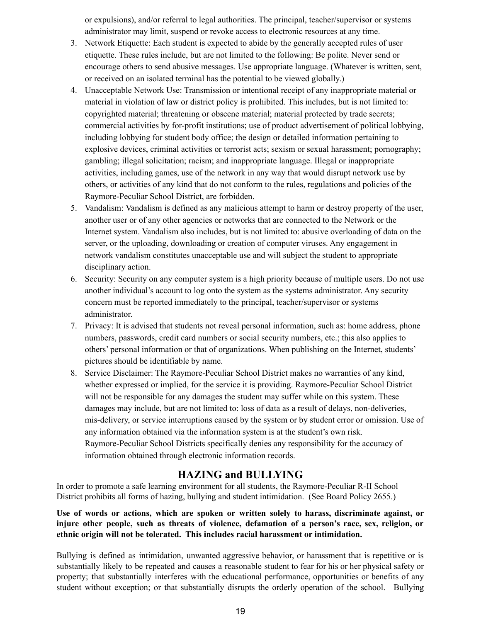or expulsions), and/or referral to legal authorities. The principal, teacher/supervisor or systems administrator may limit, suspend or revoke access to electronic resources at any time.

- 3. Network Etiquette: Each student is expected to abide by the generally accepted rules of user etiquette. These rules include, but are not limited to the following: Be polite. Never send or encourage others to send abusive messages. Use appropriate language. (Whatever is written, sent, or received on an isolated terminal has the potential to be viewed globally.)
- 4. Unacceptable Network Use: Transmission or intentional receipt of any inappropriate material or material in violation of law or district policy is prohibited. This includes, but is not limited to: copyrighted material; threatening or obscene material; material protected by trade secrets; commercial activities by for-profit institutions; use of product advertisement of political lobbying, including lobbying for student body office; the design or detailed information pertaining to explosive devices, criminal activities or terrorist acts; sexism or sexual harassment; pornography; gambling; illegal solicitation; racism; and inappropriate language. Illegal or inappropriate activities, including games, use of the network in any way that would disrupt network use by others, or activities of any kind that do not conform to the rules, regulations and policies of the Raymore-Peculiar School District, are forbidden.
- 5. Vandalism: Vandalism is defined as any malicious attempt to harm or destroy property of the user, another user or of any other agencies or networks that are connected to the Network or the Internet system. Vandalism also includes, but is not limited to: abusive overloading of data on the server, or the uploading, downloading or creation of computer viruses. Any engagement in network vandalism constitutes unacceptable use and will subject the student to appropriate disciplinary action.
- 6. Security: Security on any computer system is a high priority because of multiple users. Do not use another individual's account to log onto the system as the systems administrator. Any security concern must be reported immediately to the principal, teacher/supervisor or systems administrator.
- 7. Privacy: It is advised that students not reveal personal information, such as: home address, phone numbers, passwords, credit card numbers or social security numbers, etc.; this also applies to others' personal information or that of organizations. When publishing on the Internet, students' pictures should be identifiable by name.
- 8. Service Disclaimer: The Raymore-Peculiar School District makes no warranties of any kind, whether expressed or implied, for the service it is providing. Raymore-Peculiar School District will not be responsible for any damages the student may suffer while on this system. These damages may include, but are not limited to: loss of data as a result of delays, non-deliveries, mis-delivery, or service interruptions caused by the system or by student error or omission. Use of any information obtained via the information system is at the student's own risk. Raymore-Peculiar School Districts specifically denies any responsibility for the accuracy of information obtained through electronic information records.

# **HAZING and BULLYING**

In order to promote a safe learning environment for all students, the Raymore-Peculiar R-II School District prohibits all forms of hazing, bullying and student intimidation. (See Board Policy 2655.)

#### **Use of words or actions, which are spoken or written solely to harass, discriminate against, or injure other people, such as threats of violence, defamation of a person's race, sex, religion, or ethnic origin will not be tolerated. This includes racial harassment or intimidation.**

Bullying is defined as intimidation, unwanted aggressive behavior, or harassment that is repetitive or is substantially likely to be repeated and causes a reasonable student to fear for his or her physical safety or property; that substantially interferes with the educational performance, opportunities or benefits of any student without exception; or that substantially disrupts the orderly operation of the school. Bullying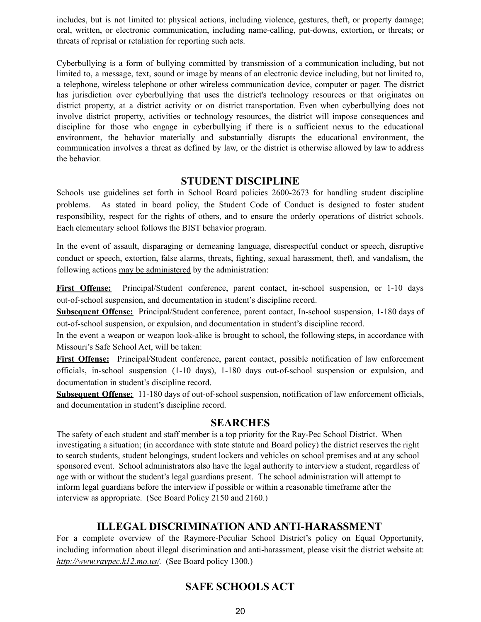includes, but is not limited to: physical actions, including violence, gestures, theft, or property damage; oral, written, or electronic communication, including name-calling, put-downs, extortion, or threats; or threats of reprisal or retaliation for reporting such acts.

Cyberbullying is a form of bullying committed by transmission of a communication including, but not limited to, a message, text, sound or image by means of an electronic device including, but not limited to, a telephone, wireless telephone or other wireless communication device, computer or pager. The district has jurisdiction over cyberbullying that uses the district's technology resources or that originates on district property, at a district activity or on district transportation. Even when cyberbullying does not involve district property, activities or technology resources, the district will impose consequences and discipline for those who engage in cyberbullying if there is a sufficient nexus to the educational environment, the behavior materially and substantially disrupts the educational environment, the communication involves a threat as defined by law, or the district is otherwise allowed by law to address the behavior.

#### **STUDENT DISCIPLINE**

Schools use guidelines set forth in School Board policies 2600-2673 for handling student discipline problems. As stated in board policy, the Student Code of Conduct is designed to foster student responsibility, respect for the rights of others, and to ensure the orderly operations of district schools. Each elementary school follows the BIST behavior program.

In the event of assault, disparaging or demeaning language, disrespectful conduct or speech, disruptive conduct or speech, extortion, false alarms, threats, fighting, sexual harassment, theft, and vandalism, the following actions may be administered by the administration:

**First Offense:** Principal/Student conference, parent contact, in-school suspension, or 1-10 days out-of-school suspension, and documentation in student's discipline record.

**Subsequent Offense:** Principal/Student conference, parent contact, In-school suspension, 1-180 days of out-of-school suspension, or expulsion, and documentation in student's discipline record.

In the event a weapon or weapon look-alike is brought to school, the following steps, in accordance with Missouri's Safe School Act, will be taken:

**First Offense:** Principal/Student conference, parent contact, possible notification of law enforcement officials, in-school suspension (1-10 days), 1-180 days out-of-school suspension or expulsion, and documentation in student's discipline record.

**Subsequent Offense:** 11-180 days of out-of-school suspension, notification of law enforcement officials, and documentation in student's discipline record.

#### **SEARCHES**

The safety of each student and staff member is a top priority for the Ray-Pec School District. When investigating a situation; (in accordance with state statute and Board policy) the district reserves the right to search students, student belongings, student lockers and vehicles on school premises and at any school sponsored event. School administrators also have the legal authority to interview a student, regardless of age with or without the student's legal guardians present. The school administration will attempt to inform legal guardians before the interview if possible or within a reasonable timeframe after the interview as appropriate. (See Board Policy 2150 and 2160.)

# **ILLEGAL DISCRIMINATION AND ANTI-HARASSMENT**

For a complete overview of the Raymore-Peculiar School District's policy on Equal Opportunity, including information about illegal discrimination and anti-harassment, please visit the district website at: *<http://www.raypec.k12.mo.us/>.* (See Board policy 1300.)

# **SAFE SCHOOLS ACT**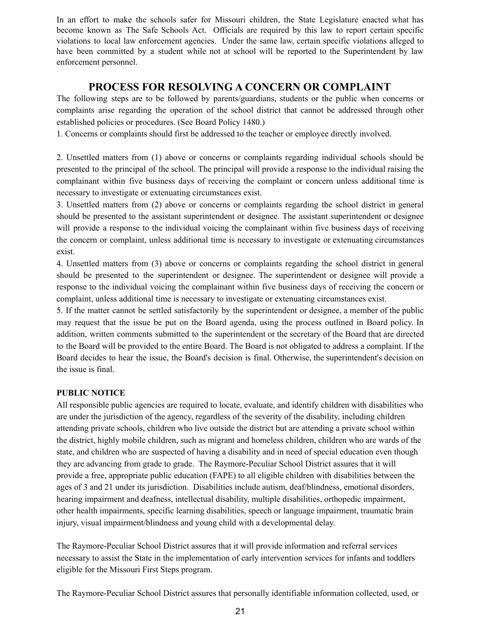In an effort to make the schools safer for Missouri children, the State Legislature enacted what has become known as The Safe Schools Act. Officials are required by this law to report certain specific violations to local law enforcement agencies. Under the same law, certain specific violations alleged to have been committed by a student while not at school will be reported to the Superintendent by law enforcement personnel.

# **PROCESS FOR RESOLVING A CONCERN OR COMPLAINT**

The following steps are to be followed by parents/guardians, students or the public when concerns or complaints arise regarding the operation of the school district that cannot be addressed through other established policies or procedures. (See Board Policy 1480.)

1. Concerns or complaints should first be addressed to the teacher or employee directly involved.

2. Unsettled matters from (1) above or concerns or complaints regarding individual schools should be presented to the principal of the school. The principal will provide a response to the individual raising the complainant within five business days of receiving the complaint or concern unless additional time is necessary to investigate or extenuating circumstances exist.

3. Unsettled matters from (2) above or concerns or complaints regarding the school district in general should be presented to the assistant superintendent or designee. The assistant superintendent or designee will provide a response to the individual voicing the complainant within five business days of receiving the concern or complaint, unless additional time is necessary to investigate or extenuating circumstances exist.

4. Unsettled matters from (3) above or concerns or complaints regarding the school district in general should be presented to the superintendent or designee. The superintendent or designee will provide a response to the individual voicing the complainant within five business days of receiving the concern or complaint, unless additional time is necessary to investigate or extenuating circumstances exist.

5. If the matter cannot be settled satisfactorily by the superintendent or designee, a member of the public may request that the issue be put on the Board agenda, using the process outlined in Board policy. In addition, written comments submitted to the superintendent or the secretary of the Board that are directed to the Board will be provided to the entire Board. The Board is not obligated to address a complaint. If the Board decides to hear the issue, the Board's decision is final. Otherwise, the superintendent's decision on the issue is final.

#### **PUBLIC NOTICE**

All responsible public agencies are required to locate, evaluate, and identify children with disabilities who are under the jurisdiction of the agency, regardless of the severity of the disability, including children attending private schools, children who live outside the district but are attending a private school within the district, highly mobile children, such as migrant and homeless children, children who are wards of the state, and children who are suspected of having a disability and in need of special education even though they are advancing from grade to grade. The Raymore-Peculiar School District assures that it will provide a free, appropriate public education (FAPE) to all eligible children with disabilities between the ages of 3 and 21 under its jurisdiction. Disabilities include autism, deaf/blindness, emotional disorders, hearing impairment and deafness, intellectual disability, multiple disabilities, orthopedic impairment, other health impairments, specific learning disabilities, speech or language impairment, traumatic brain injury, visual impairment/blindness and young child with a developmental delay.

The Raymore-Peculiar School District assures that it will provide information and referral services necessary to assist the State in the implementation of early intervention services for infants and toddlers eligible for the Missouri First Steps program.

The Raymore-Peculiar School District assures that personally identifiable information collected, used, or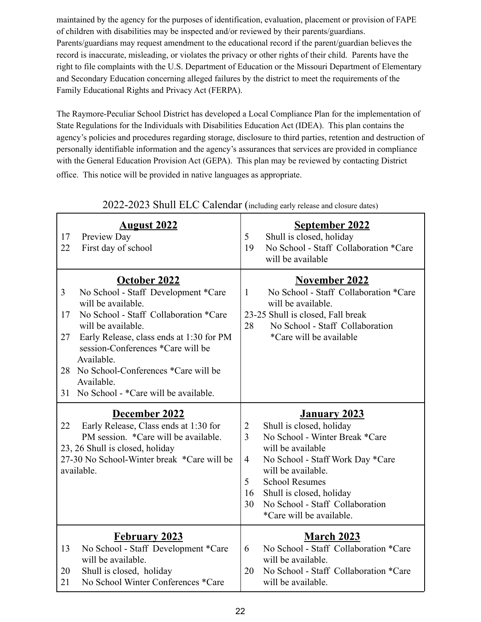maintained by the agency for the purposes of identification, evaluation, placement or provision of FAPE of children with disabilities may be inspected and/or reviewed by their parents/guardians. Parents/guardians may request amendment to the educational record if the parent/guardian believes the record is inaccurate, misleading, or violates the privacy or other rights of their child. Parents have the right to file complaints with the U.S. Department of Education or the Missouri Department of Elementary and Secondary Education concerning alleged failures by the district to meet the requirements of the Family Educational Rights and Privacy Act (FERPA).

The Raymore-Peculiar School District has developed a Local Compliance Plan for the implementation of State Regulations for the Individuals with Disabilities Education Act (IDEA). This plan contains the agency's policies and procedures regarding storage, disclosure to third parties, retention and destruction of personally identifiable information and the agency's assurances that services are provided in compliance with the General Education Provision Act (GEPA). This plan may be reviewed by contacting District office. This notice will be provided in native languages as appropriate.

| <b>August 2022</b><br>17<br>Preview Day<br>22<br>First day of school                                                                                                                                                                                                                                                                                              | <b>September 2022</b><br>Shull is closed, holiday<br>5<br>No School - Staff Collaboration *Care<br>19<br>will be available                                                                                                                                                                                                              |
|-------------------------------------------------------------------------------------------------------------------------------------------------------------------------------------------------------------------------------------------------------------------------------------------------------------------------------------------------------------------|-----------------------------------------------------------------------------------------------------------------------------------------------------------------------------------------------------------------------------------------------------------------------------------------------------------------------------------------|
| October 2022<br>No School - Staff Development *Care<br>3<br>will be available.<br>No School - Staff Collaboration *Care<br>17<br>will be available.<br>Early Release, class ends at 1:30 for PM<br>27<br>session-Conferences *Care will be<br>Available.<br>No School-Conferences *Care will be<br>28<br>Available.<br>No School - *Care will be available.<br>31 | <b>November 2022</b><br>No School - Staff Collaboration *Care<br>$\mathbf{1}$<br>will be available.<br>23-25 Shull is closed, Fall break<br>No School - Staff Collaboration<br>28<br>*Care will be available                                                                                                                            |
|                                                                                                                                                                                                                                                                                                                                                                   |                                                                                                                                                                                                                                                                                                                                         |
| December 2022<br>Early Release, Class ends at 1:30 for<br>22<br>PM session. *Care will be available.<br>23, 26 Shull is closed, holiday<br>27-30 No School-Winter break *Care will be<br>available.                                                                                                                                                               | January 2023<br>Shull is closed, holiday<br>2<br>No School - Winter Break *Care<br>$\overline{3}$<br>will be available<br>$\overline{4}$<br>No School - Staff Work Day *Care<br>will be available.<br>5<br><b>School Resumes</b><br>Shull is closed, holiday<br>16<br>No School - Staff Collaboration<br>30<br>*Care will be available. |

# 2022-2023 Shull ELC Calendar (including early release and closure dates)